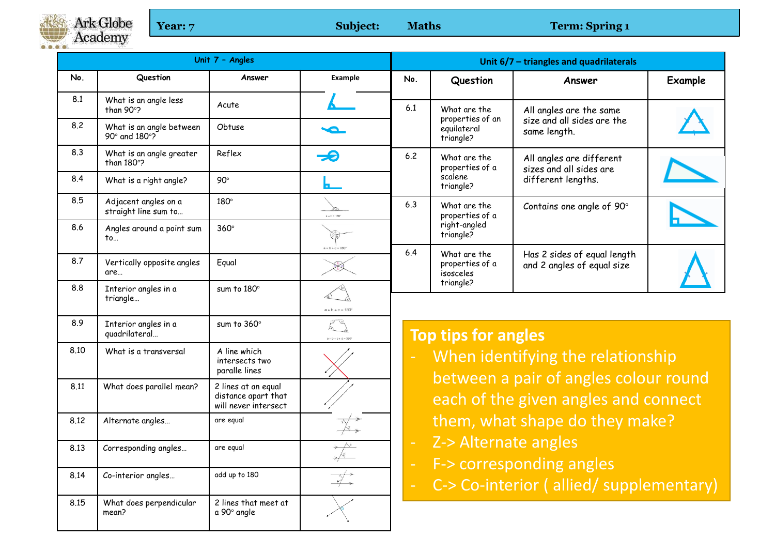Ark Globe<br>Academy  $0 0 0 0$ 

**Year: 7** Subject: Maths **Term: Spring 1** 

| Unit 7 - Angles |                                                |                                                                    |                                                                                                                                                                                                                                                                                                                                                                              | Unit $6/7$ – triangles and quadrilaterals                                                                                                                                                                                                                                                                                    |                                                              |                                                                           |                |  |  |  |  |
|-----------------|------------------------------------------------|--------------------------------------------------------------------|------------------------------------------------------------------------------------------------------------------------------------------------------------------------------------------------------------------------------------------------------------------------------------------------------------------------------------------------------------------------------|------------------------------------------------------------------------------------------------------------------------------------------------------------------------------------------------------------------------------------------------------------------------------------------------------------------------------|--------------------------------------------------------------|---------------------------------------------------------------------------|----------------|--|--|--|--|
| No.             | Question                                       | Answer                                                             | Example                                                                                                                                                                                                                                                                                                                                                                      | No.                                                                                                                                                                                                                                                                                                                          | Question                                                     | Answer                                                                    | <b>Example</b> |  |  |  |  |
| 8.1             | What is an angle less<br>than 90°?             | Acute                                                              |                                                                                                                                                                                                                                                                                                                                                                              | 6.1                                                                                                                                                                                                                                                                                                                          | What are the<br>properties of an<br>equilateral<br>triangle? | All angles are the same<br>size and all sides are the<br>same length.     |                |  |  |  |  |
| 8.2             | What is an angle between<br>90° and 180°?      | Obtuse                                                             |                                                                                                                                                                                                                                                                                                                                                                              |                                                                                                                                                                                                                                                                                                                              |                                                              |                                                                           |                |  |  |  |  |
| 8.3             | What is an angle greater<br>than $180^\circ$ ? | Reflex                                                             | -9                                                                                                                                                                                                                                                                                                                                                                           | 6.2                                                                                                                                                                                                                                                                                                                          | What are the<br>properties of a<br>scalene<br>triangle?      | All angles are different<br>sizes and all sides are<br>different lengths. |                |  |  |  |  |
| 8.4             | What is a right angle?                         | $90^\circ$                                                         | Ь.                                                                                                                                                                                                                                                                                                                                                                           |                                                                                                                                                                                                                                                                                                                              |                                                              |                                                                           |                |  |  |  |  |
| 8.5             | Adjacent angles on a<br>straight line sum to   | $180^\circ$                                                        | $a + b = 180$                                                                                                                                                                                                                                                                                                                                                                | 6.3                                                                                                                                                                                                                                                                                                                          | What are the<br>properties of a<br>right-angled<br>triangle? | Contains one angle of 90°                                                 |                |  |  |  |  |
| 8.6             | Angles around a point sum<br>to                | $360^\circ$                                                        |                                                                                                                                                                                                                                                                                                                                                                              |                                                                                                                                                                                                                                                                                                                              |                                                              |                                                                           |                |  |  |  |  |
| 8.7             | Vertically opposite angles<br>are              | Equal                                                              | $a + b + c = 360^{\circ}$                                                                                                                                                                                                                                                                                                                                                    | 6.4                                                                                                                                                                                                                                                                                                                          | What are the<br>properties of a<br>isosceles                 | Has 2 sides of equal length<br>and 2 angles of equal size                 |                |  |  |  |  |
| 8.8             | Interior angles in a<br>triangle               | sum to 180°                                                        | $a + b + c = 180'$                                                                                                                                                                                                                                                                                                                                                           | triangle?                                                                                                                                                                                                                                                                                                                    |                                                              |                                                                           |                |  |  |  |  |
| 8.9             | Interior angles in a<br>quadrilateral          | sum to $360^\circ$                                                 | $\begin{picture}(20,20) \put(0,0){\line(1,0){10}} \put(15,0){\line(1,0){10}} \put(15,0){\line(1,0){10}} \put(15,0){\line(1,0){10}} \put(15,0){\line(1,0){10}} \put(15,0){\line(1,0){10}} \put(15,0){\line(1,0){10}} \put(15,0){\line(1,0){10}} \put(15,0){\line(1,0){10}} \put(15,0){\line(1,0){10}} \put(15,0){\line(1,0){10}} \put(15,0){\line(1$<br>$a + b + c + d = 380$ | <b>Top tips for angles</b>                                                                                                                                                                                                                                                                                                   |                                                              |                                                                           |                |  |  |  |  |
| 8.10            | What is a transversal                          | A line which<br>intersects two<br>paralle lines                    |                                                                                                                                                                                                                                                                                                                                                                              | When identifying the relationship<br>between a pair of angles colour round<br>each of the given angles and connect<br>them, what shape do they make?<br>Z-> Alternate angles<br>$\overline{\phantom{a}}$<br>F-> corresponding angles<br>$\overline{\phantom{a}}$<br>C-> Co-interior (allied/supplementary)<br>$\blacksquare$ |                                                              |                                                                           |                |  |  |  |  |
| 8.11            | What does parallel mean?                       | 2 lines at an equal<br>distance apart that<br>will never intersect |                                                                                                                                                                                                                                                                                                                                                                              |                                                                                                                                                                                                                                                                                                                              |                                                              |                                                                           |                |  |  |  |  |
| 8.12            | Alternate angles                               | are equal                                                          |                                                                                                                                                                                                                                                                                                                                                                              |                                                                                                                                                                                                                                                                                                                              |                                                              |                                                                           |                |  |  |  |  |
| 8.13            | Corresponding angles                           | are egual                                                          |                                                                                                                                                                                                                                                                                                                                                                              |                                                                                                                                                                                                                                                                                                                              |                                                              |                                                                           |                |  |  |  |  |
| 8.14            | Co-interior angles                             | add up to 180                                                      |                                                                                                                                                                                                                                                                                                                                                                              |                                                                                                                                                                                                                                                                                                                              |                                                              |                                                                           |                |  |  |  |  |
| 8.15            | What does perpendicular<br>mean?               | 2 lines that meet at<br>a 90° angle                                |                                                                                                                                                                                                                                                                                                                                                                              |                                                                                                                                                                                                                                                                                                                              |                                                              |                                                                           |                |  |  |  |  |